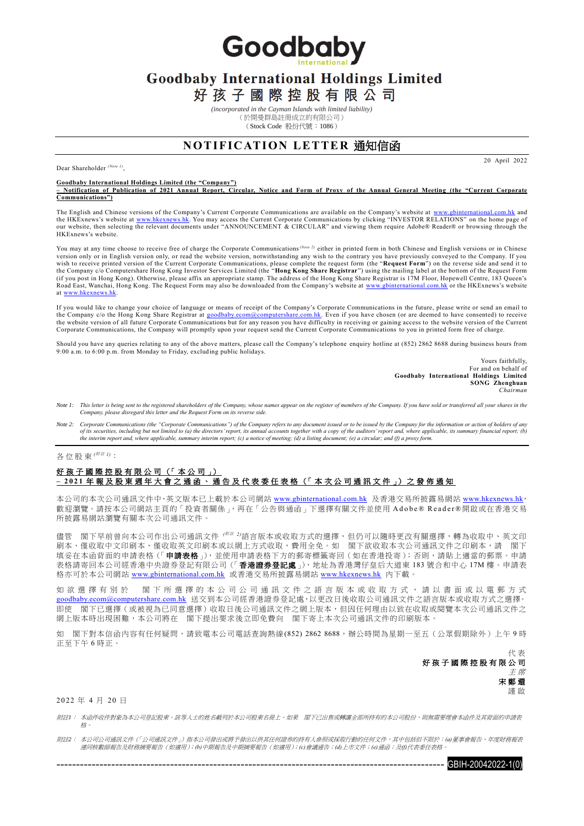Goodbaby

# **Goodbaby International Holdings Limited**

好孩子國際控股有限公司

*(incorporated in the Cayman Islands with limited liability)* (於開曼群島註冊成立的有限公司) (Stock Code 股份代號:1086)

### **NOTIFICATION LETTER 通知信函**

20 April 2022

Dear Shareholder *(Note 1)* ,

#### **Goodbaby International Holdings Limited (the "Company")**

**– Notification of Publication of 2021 Annual Report, Circular, Notice and Form of Proxy of the Annual General Meeting (the "Current Corporate Communications")**

The English and Chinese versions of the Company's Current Corporate Communications are available on the Company's website at <u>www.gbinternational.com.hk</u> and<br>the HKExnews's website at <u>www.hkexnews.hk</u>. You may access the HKExnews's website.

You may at any time choose to receive free of charge the Corporate Communications*(Note 2)* either in printed form in both Chinese and English versions or in Chinese version only or in English version only, or read the website version, notwithstanding any wish to the contrary you have previously conveyed to the Company. If you wish to receive printed version of the Current Corporate Communications, please complete the request form (the "**Request Form**") on the reverse side and send it to<br>the Company c/o Computershare Hong Kong Investor Services Road East, Wanchai, Hong Kong. The Request Form may also be downloaded from the Company's website at [www.gbinternational.com.hk](http://www.gbinternational.com.hk/) or the HKExnews's website at [www.hkexnews.hk.](http://www.hkexnews.hk/)

If you would like to change your choice of language or means of receipt of the Company's Corporate Communications in the future, please write or send an email to the Company c/o the Hong Kong Share Registrar at <u>goodbaby.ecom@computershare.com.hk</u>. Even if you have chosen (or are deemed to have consented) to receive<br>the website version of all future Corporate Communications but for Corporate Communications, the Company will promptly upon your request send the Current Corporate Communications to you in printed form free of charge.

Should you have any queries relating to any of the above matters, please call the Company's telephone enquiry hotline at (852) 2862 8688 during business hours from 9:00 a.m. to 6:00 p.m. from Monday to Friday, excluding public holidays.

> Yours faithfully, For and on behalf of **Goodbaby International Holdings Limited SONG Zhenghuan** *Chairman*

- Note 1: This letter is being sent to the registered shareholders of the Company, whose names appear on the register of members of the Company. If you have sold or transferred all your shares in the *Company, please disregard this letter and the Request Form on its reverse side.*
- *Note 2: Corporate Communications (the "Corporate Communications") of the Company refers to any document issued or to be issued by the Company for the information or action of holders of any*  of its securities, including but not limited to (a) the directors' report, its annual accounts together with a copy of the auditors' report and, where applicable, its summary financial report; (b)<br>the interim report and, w

## 各位股東(<sup>////</sup> 註 1):

### 好孩子國際控股有限公司 (「本公司」) **– 2 0 2 1** 年 報 及 股 東 週 年 大 會 之 通 函 、 通 告 及 代 表 委 任 表 格 (「 本 次 公 司 通 訊 文 件 」) 之 發 佈 通 知

本公司的本次公司通訊文件中、英文版本已上載於本公司網站 [www.gbinternational.com.hk](http://www.gbinternational.com.hk/) 及香港交易所披露易網站 [www.hkexnews.hk](http://www.hkexnews.hk/), 歡迎瀏覽。請按本公司網站主頁的「投資者關係」,再在「公告與通函」下選擇有關文件並使用 Adobe® Reader®開啟或在香港交易 所披露易網站瀏覽有關本次公司通訊文件。

儘管 閣下早前曾向本公司作出公司通訊文件 <sup>(## 2</sup>)語言版本或收取方式的選擇,但仍可以隨時更改有關選擇,轉為收取中、英文印 刷本、僅收取中文印刷本、僅收取英文印刷本或以網上方式收取,費用全免。如 閣下欲收取本次公司通訊文件之印刷本,請 閣下 填妥在本函背面的申請表格(「申請表格」),並使用申請表格下方的郵寄標籤寄回(如在香港投寄);否則,請貼上適當的郵票。申請 表格請寄回本公司經香港中央證券登記有限公司(「香**港證券登記處**」),地址為香港灣仔皇后大道東 183 號合和中心 17M 樓。申請表 格亦可於本公司網站 [www.gbinternational.com.hk](http://www.gbinternational.com.hk/) 或香港交易所披露易網站 [www.hkexnews.hk](http://www.hkexnews.hk/) 內下載。

如 欲 選 擇 有 別 於 閣 下 所 選 擇 的 本 公 司 公 司 通 訊 文 件 之 語 言 版 本 或 收 取 方 式 , 請 以 書 面 或 以 電 郵 方 式 [goodbaby.ecom@computershare.com.hk](mailto:goodbaby.ecom@computershare.com.hk) 送交到本公司經香港證券登記處,以更改日後收取公司通訊文件之語言版本或收取方式之選擇。 即使 閣下已選擇(或被視為已同意選擇)收取日後公司通訊文件之網上版本,但因任何理由以致在收取或閱覽本次公司通訊文件之 網上版本時出現困難,本公司將在 閣下提出要求後立即免費向 閣下寄上本次公司通訊文件的印刷版本。

如 閣下對本信函內容有任何疑問,請致電本公司電話查詢熱線(852) 2862 8688,辦公時間為星期一至五(公眾假期除外)上午9時 正至下午 6 時正。

> 代 表 好孩子國際控股有限公司 主 席 宋鄭還 謹 啟

#### 2 0 22 年 4 月 20 日

附註*1*: 本函件收件對象為本公司登記股東。該等人士的姓名載列於本公司股東名冊上。如果 閣下已出售或轉讓全部所持有的本公司股份,則無需要理會本函件及其背面的申請表 格。

附註*2*: 本公司公司通訊文件(「公司通訊文件」)指本公司發出或將予發出以供其任何證券的持有人參照或採取行動的任何文件,其中包括但不限於:*(a)*董事會報告、年度財務報表 連同核數師報告及財務摘要報告(如適用);*(b)*中期報告及中期摘要報告(如適用);*(c)*會議通告;*(d)*上市文件;*(e)*通函;及*(f)*代表委任表格。

GBIH-20042022-1(0)